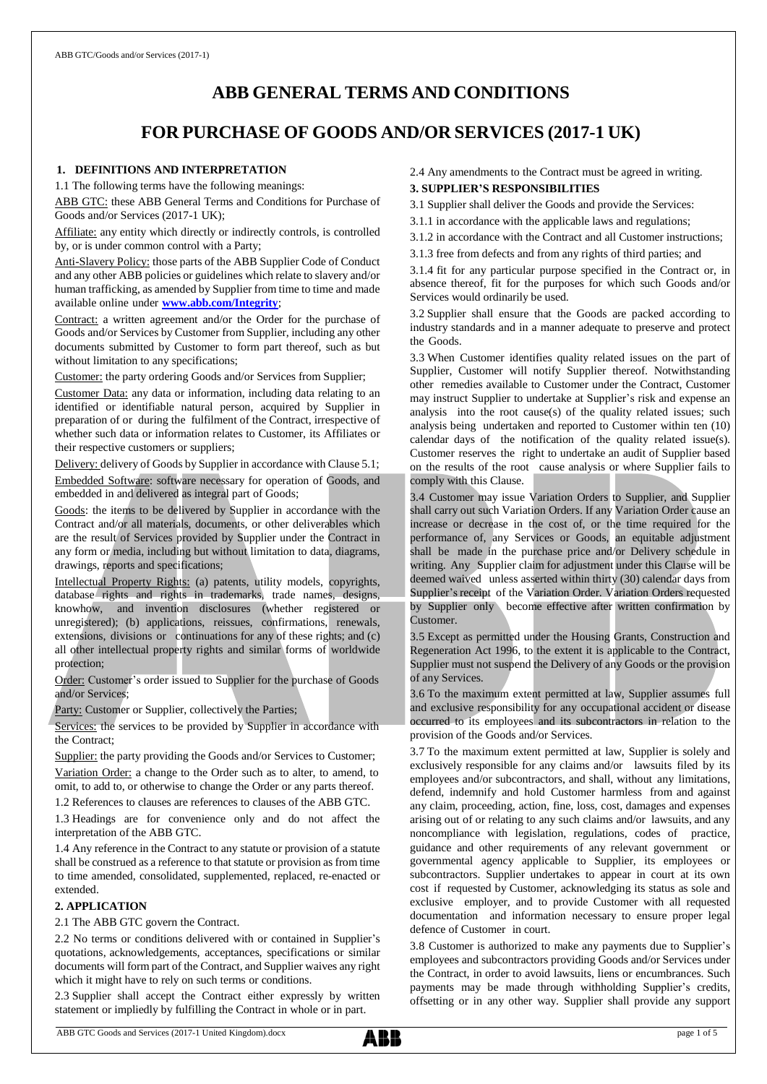# **ABB GENERAL TERMS AND CONDITIONS**

# **FOR PURCHASE OF GOODS AND/OR SERVICES (2017-1 UK)**

## **1. DEFINITIONS AND INTERPRETATION**

1.1 The following terms have the following meanings:

ABB GTC: these ABB General Terms and Conditions for Purchase of Goods and/or Services (2017-1 UK);

Affiliate: any entity which directly or indirectly controls, is controlled by, or is under common control with a Party;

Anti-Slavery Policy: those parts of the ABB Supplier Code of Conduct and any other ABB policies or guidelines which relate to slavery and/or human trafficking, as amended by Supplier from time to time and made available online under **[www.abb.com/Integrity](http://www.abb.com/Integrity.)**;

Contract: a written agreement and/or the Order for the purchase of Goods and/or Services by Customer from Supplier, including any other documents submitted by Customer to form part thereof, such as but without limitation to any specifications;

Customer: the party ordering Goods and/or Services from Supplier;

Customer Data: any data or information, including data relating to an identified or identifiable natural person, acquired by Supplier in preparation of or during the fulfilment of the Contract, irrespective of whether such data or information relates to Customer, its Affiliates or their respective customers or suppliers;

Delivery: delivery of Goods by Supplier in accordance with Clause 5.1; Embedded Software: software necessary for operation of Goods, and embedded in and delivered as integral part of Goods;

Goods: the items to be delivered by Supplier in accordance with the Contract and/or all materials, documents, or other deliverables which are the result of Services provided by Supplier under the Contract in any form or media, including but without limitation to data, diagrams, drawings, reports and specifications;

Intellectual Property Rights: (a) patents, utility models, copyrights, database rights and rights in trademarks, trade names, designs, knowhow, and invention disclosures (whether registered or unregistered); (b) applications, reissues, confirmations, renewals, extensions, divisions or continuations for any of these rights; and (c) all other intellectual property rights and similar forms of worldwide protection;

Order: Customer's order issued to Supplier for the purchase of Goods and/or Services;

Party: Customer or Supplier, collectively the Parties;

Services: the services to be provided by Supplier in accordance with the Contract;

Supplier: the party providing the Goods and/or Services to Customer;

Variation Order: a change to the Order such as to alter, to amend, to omit, to add to, or otherwise to change the Order or any parts thereof.

1.2 References to clauses are references to clauses of the ABB GTC.

1.3 Headings are for convenience only and do not affect the interpretation of the ABB GTC.

1.4 Any reference in the Contract to any statute or provision of a statute shall be construed as a reference to that statute or provision as from time to time amended, consolidated, supplemented, replaced, re-enacted or extended.

# **2. APPLICATION**

2.1 The ABB GTC govern the Contract.

2.2 No terms or conditions delivered with or contained in Supplier's quotations, acknowledgements, acceptances, specifications or similar documents will form part of the Contract, and Supplier waives any right which it might have to rely on such terms or conditions.

2.3 Supplier shall accept the Contract either expressly by written statement or impliedly by fulfilling the Contract in whole or in part.

2.4 Any amendments to the Contract must be agreed in writing.

## **3. SUPPLIER'S RESPONSIBILITIES**

- 3.1 Supplier shall deliver the Goods and provide the Services:
- 3.1.1 in accordance with the applicable laws and regulations;
- 3.1.2 in accordance with the Contract and all Customer instructions;
- 3.1.3 free from defects and from any rights of third parties; and

3.1.4 fit for any particular purpose specified in the Contract or, in absence thereof, fit for the purposes for which such Goods and/or Services would ordinarily be used.

3.2 Supplier shall ensure that the Goods are packed according to industry standards and in a manner adequate to preserve and protect the Goods.

3.3 When Customer identifies quality related issues on the part of Supplier, Customer will notify Supplier thereof. Notwithstanding other remedies available to Customer under the Contract, Customer may instruct Supplier to undertake at Supplier's risk and expense an analysis into the root cause(s) of the quality related issues; such analysis being undertaken and reported to Customer within ten (10) calendar days of the notification of the quality related issue(s). Customer reserves the right to undertake an audit of Supplier based on the results of the root cause analysis or where Supplier fails to comply with this Clause.

3.4 Customer may issue Variation Orders to Supplier, and Supplier shall carry out such Variation Orders. If any Variation Order cause an increase or decrease in the cost of, or the time required for the performance of, any Services or Goods, an equitable adjustment shall be made in the purchase price and/or Delivery schedule in writing. Any Supplier claim for adjustment under this Clause will be deemed waived unless asserted within thirty (30) calendar days from Supplier's receipt of the Variation Order. Variation Orders requested by Supplier only become effective after written confirmation by Customer.

3.5 Except as permitted under the Housing Grants, Construction and Regeneration Act 1996, to the extent it is applicable to the Contract, Supplier must not suspend the Delivery of any Goods or the provision of any Services.

3.6 To the maximum extent permitted at law, Supplier assumes full and exclusive responsibility for any occupational accident or disease occurred to its employees and its subcontractors in relation to the provision of the Goods and/or Services.

3.7 To the maximum extent permitted at law, Supplier is solely and exclusively responsible for any claims and/or lawsuits filed by its employees and/or subcontractors, and shall, without any limitations, defend, indemnify and hold Customer harmless from and against any claim, proceeding, action, fine, loss, cost, damages and expenses arising out of or relating to any such claims and/or lawsuits, and any noncompliance with legislation, regulations, codes of practice, guidance and other requirements of any relevant government or governmental agency applicable to Supplier, its employees or subcontractors. Supplier undertakes to appear in court at its own cost if requested by Customer, acknowledging its status as sole and exclusive employer, and to provide Customer with all requested documentation and information necessary to ensure proper legal defence of Customer in court.

3.8 Customer is authorized to make any payments due to Supplier's employees and subcontractors providing Goods and/or Services under the Contract, in order to avoid lawsuits, liens or encumbrances. Such payments may be made through withholding Supplier's credits, offsetting or in any other way. Supplier shall provide any support

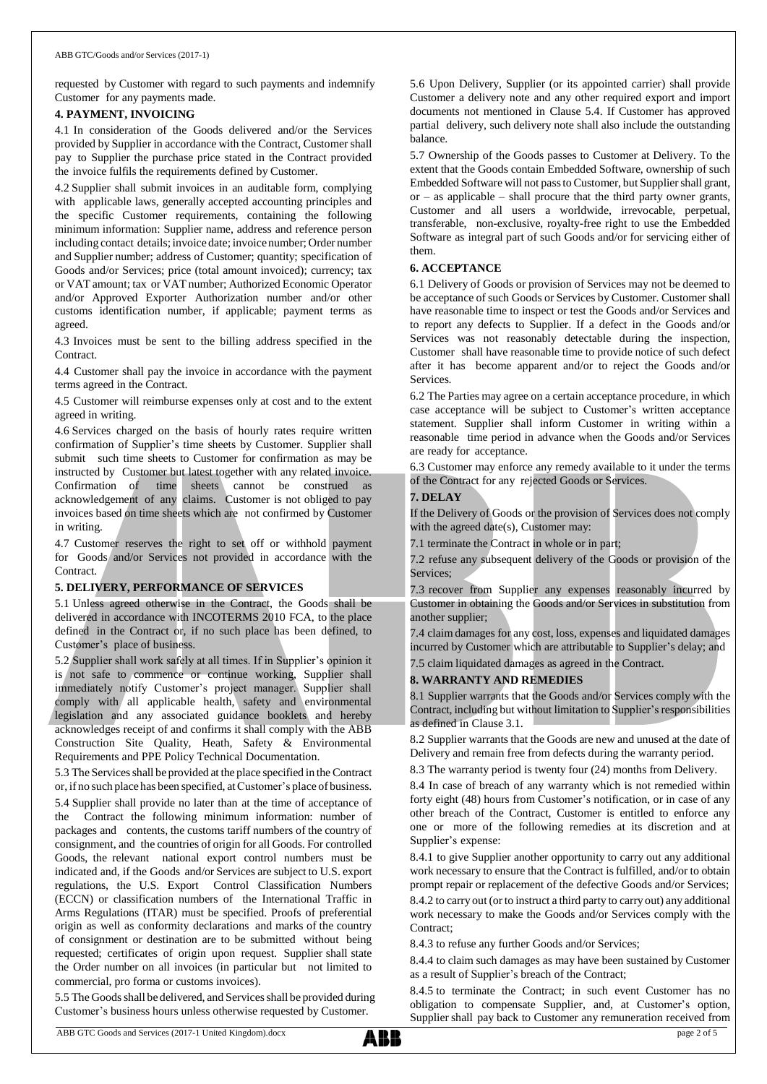requested by Customer with regard to such payments and indemnify Customer for any payments made.

# **4. PAYMENT, INVOICING**

4.1 In consideration of the Goods delivered and/or the Services provided by Supplier in accordance with the Contract, Customer shall pay to Supplier the purchase price stated in the Contract provided the invoice fulfils the requirements defined by Customer.

4.2 Supplier shall submit invoices in an auditable form, complying with applicable laws, generally accepted accounting principles and the specific Customer requirements, containing the following minimum information: Supplier name, address and reference person including contact details; invoice date; invoice number; Order number and Supplier number; address of Customer; quantity; specification of Goods and/or Services; price (total amount invoiced); currency; tax or VAT amount; tax or VAT number; Authorized Economic Operator and/or Approved Exporter Authorization number and/or other customs identification number, if applicable; payment terms as agreed.

4.3 Invoices must be sent to the billing address specified in the Contract.

4.4 Customer shall pay the invoice in accordance with the payment terms agreed in the Contract.

4.5 Customer will reimburse expenses only at cost and to the extent agreed in writing.

4.6 Services charged on the basis of hourly rates require written confirmation of Supplier's time sheets by Customer. Supplier shall submit such time sheets to Customer for confirmation as may be instructed by Customer but latest together with any related invoice. Confirmation of time sheets cannot be construed as acknowledgement of any claims. Customer is not obliged to pay invoices based on time sheets which are not confirmed by Customer in writing.

4.7 Customer reserves the right to set off or withhold payment for Goods and/or Services not provided in accordance with the Contract.

# **5. DELIVERY, PERFORMANCE OF SERVICES**

5.1 Unless agreed otherwise in the Contract, the Goods shall be delivered in accordance with INCOTERMS 2010 FCA, to the place defined in the Contract or, if no such place has been defined, to Customer's place of business.

5.2 Supplier shall work safely at all times. If in Supplier's opinion it is not safe to commence or continue working, Supplier shall immediately notify Customer's project manager. Supplier shall comply with all applicable health, safety and environmental legislation and any associated guidance booklets and hereby acknowledges receipt of and confirms it shall comply with the ABB Construction Site Quality, Heath, Safety & Environmental Requirements and PPE Policy Technical Documentation.

5.3 The Services shall be provided at the place specified in the Contract or, if no such place has been specified, atCustomer's place of business.

5.4 Supplier shall provide no later than at the time of acceptance of the Contract the following minimum information: number of packages and contents, the customs tariff numbers of the country of consignment, and the countries of origin for all Goods. For controlled Goods, the relevant national export control numbers must be indicated and, if the Goods and/or Services are subject to U.S. export regulations, the U.S. Export Control Classification Numbers (ECCN) or classification numbers of the International Traffic in Arms Regulations (ITAR) must be specified. Proofs of preferential origin as well as conformity declarations and marks of the country of consignment or destination are to be submitted without being requested; certificates of origin upon request. Supplier shall state the Order number on all invoices (in particular but not limited to commercial, pro forma or customs invoices).

5.5 The Goods shall be delivered, and Services shall be provided during Customer's business hours unless otherwise requested by Customer.

5.6 Upon Delivery, Supplier (or its appointed carrier) shall provide Customer a delivery note and any other required export and import documents not mentioned in Clause 5.4. If Customer has approved partial delivery, such delivery note shall also include the outstanding balance.

5.7 Ownership of the Goods passes to Customer at Delivery. To the extent that the Goods contain Embedded Software, ownership of such Embedded Software will not pass to Customer, but Supplier shall grant, or – as applicable – shall procure that the third party owner grants, Customer and all users a worldwide, irrevocable, perpetual, transferable, non-exclusive, royalty-free right to use the Embedded Software as integral part of such Goods and/or for servicing either of them.

# **6. ACCEPTANCE**

6.1 Delivery of Goods or provision of Services may not be deemed to be acceptance of such Goods or Services by Customer. Customer shall have reasonable time to inspect or test the Goods and/or Services and to report any defects to Supplier. If a defect in the Goods and/or Services was not reasonably detectable during the inspection, Customer shall have reasonable time to provide notice of such defect after it has become apparent and/or to reject the Goods and/or Services.

6.2 The Parties may agree on a certain acceptance procedure, in which case acceptance will be subject to Customer's written acceptance statement. Supplier shall inform Customer in writing within a reasonable time period in advance when the Goods and/or Services are ready for acceptance.

6.3 Customer may enforce any remedy available to it under the terms of the Contract for any rejected Goods or Services.

# **7. DELAY**

If the Delivery of Goods or the provision of Services does not comply with the agreed date(s), Customer may:

7.1 terminate the Contract in whole or in part;

7.2 refuse any subsequent delivery of the Goods or provision of the Services;

7.3 recover from Supplier any expenses reasonably incurred by Customer in obtaining the Goods and/or Services in substitution from another supplier;

7.4 claimdamages for any cost, loss, expenses and liquidated damages incurred by Customer which are attributable to Supplier's delay; and

7.5 claim liquidated damages as agreed in the Contract.

# **8. WARRANTY AND REMEDIES**

8.1 Supplier warrants that the Goods and/or Services comply with the Contract, including but without limitation to Supplier's responsibilities as defined in Clause 3.1.

8.2 Supplier warrants that the Goods are new and unused at the date of Delivery and remain free from defects during the warranty period.

8.3 The warranty period is twenty four (24) months from Delivery.

8.4 In case of breach of any warranty which is not remedied within forty eight (48) hours from Customer's notification, or in case of any other breach of the Contract, Customer is entitled to enforce any one or more of the following remedies at its discretion and at Supplier's expense:

8.4.1 to give Supplier another opportunity to carry out any additional work necessary to ensure that the Contract is fulfilled, and/or to obtain prompt repair or replacement of the defective Goods and/or Services;

8.4.2 to carry out (or to instruct a third party to carry out) any additional work necessary to make the Goods and/or Services comply with the Contract;

8.4.3 to refuse any further Goods and/or Services;

8.4.4 to claim such damages as may have been sustained by Customer as a result of Supplier's breach of the Contract;

8.4.5 to terminate the Contract; in such event Customer has no obligation to compensate Supplier, and, at Customer's option, Supplier shall pay back to Customer any remuneration received from

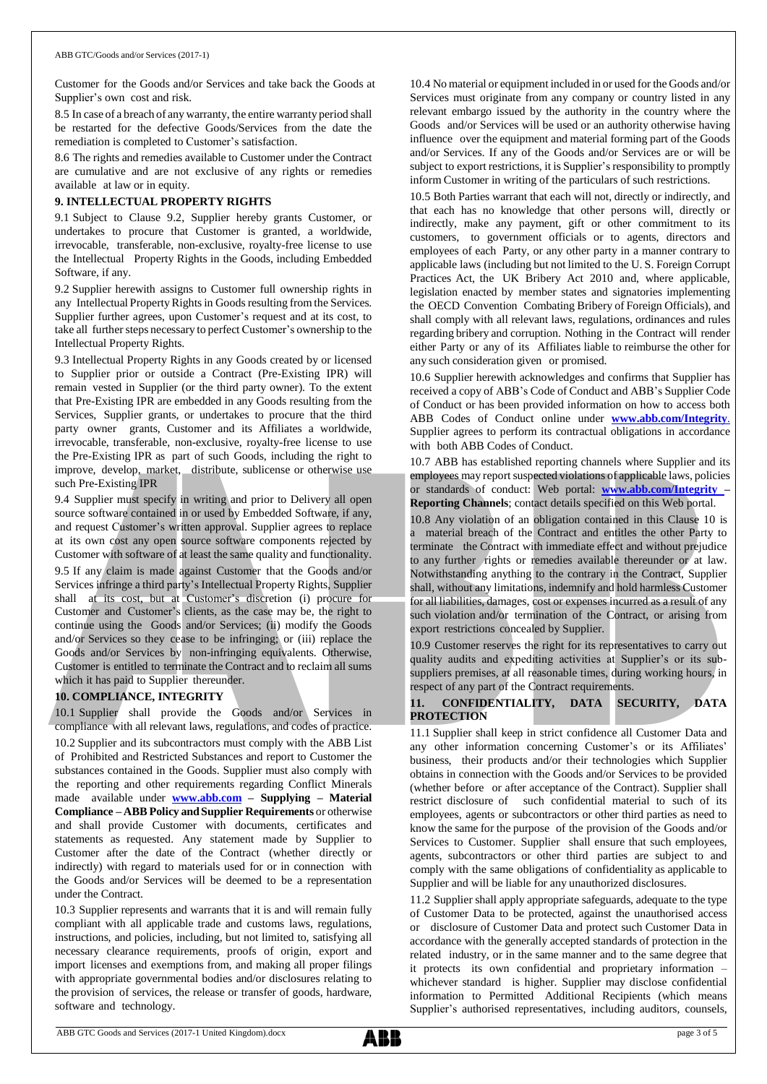Customer for the Goods and/or Services and take back the Goods at Supplier's own cost and risk.

8.5 In case of a breach of any warranty, the entire warranty period shall be restarted for the defective Goods/Services from the date the remediation is completed to Customer's satisfaction.

8.6 The rights and remedies available to Customer under the Contract are cumulative and are not exclusive of any rights or remedies available at law or in equity.

# **9. INTELLECTUAL PROPERTY RIGHTS**

9.1 Subject to Clause 9.2, Supplier hereby grants Customer, or undertakes to procure that Customer is granted, a worldwide, irrevocable, transferable, non-exclusive, royalty-free license to use the Intellectual Property Rights in the Goods, including Embedded Software, if any.

9.2 Supplier herewith assigns to Customer full ownership rights in any Intellectual Property Rights in Goods resulting from the Services. Supplier further agrees, upon Customer's request and at its cost, to take all further steps necessary to perfect Customer's ownership to the Intellectual Property Rights.

9.3 Intellectual Property Rights in any Goods created by or licensed to Supplier prior or outside a Contract (Pre-Existing IPR) will remain vested in Supplier (or the third party owner). To the extent that Pre-Existing IPR are embedded in any Goods resulting from the Services, Supplier grants, or undertakes to procure that the third party owner grants, Customer and its Affiliates a worldwide, irrevocable, transferable, non-exclusive, royalty-free license to use the Pre-Existing IPR as part of such Goods, including the right to improve, develop, market, distribute, sublicense or otherwise use such Pre-Existing IPR

9.4 Supplier must specify in writing and prior to Delivery all open source software contained in or used by Embedded Software, if any, and request Customer's written approval. Supplier agrees to replace at its own cost any open source software components rejected by Customer with software of at least the same quality and functionality. 9.5 If any claim is made against Customer that the Goods and/or Services infringe a third party's Intellectual Property Rights, Supplier shall at its cost, but at Customer's discretion (i) procure for Customer and Customer's clients, as the case may be, the right to continue using the Goods and/or Services; (ii) modify the Goods and/or Services so they cease to be infringing; or (iii) replace the Goods and/or Services by non-infringing equivalents. Otherwise, Customer is entitled to terminate the Contract and to reclaim all sums which it has paid to Supplier thereunder.

# **10. COMPLIANCE, INTEGRITY**

10.1 Supplier shall provide the Goods and/or Services in compliance with all relevant laws, regulations, and codes of practice. 10.2 Supplier and its subcontractors must comply with the ABB List of Prohibited and Restricted Substances and report to Customer the substances contained in the Goods. Supplier must also comply with the reporting and other requirements regarding Conflict Minerals made available under **[www.abb.com](http://www.abb.com/) – Supplying – Material Compliance** – **ABB Policy** and **Supplier Requirements** or otherwise and shall provide Customer with documents, certificates and statements as requested. Any statement made by Supplier to Customer after the date of the Contract (whether directly or indirectly) with regard to materials used for or in connection with the Goods and/or Services will be deemed to be a representation under the Contract.

10.3 Supplier represents and warrants that it is and will remain fully compliant with all applicable trade and customs laws, regulations, instructions, and policies, including, but not limited to, satisfying all necessary clearance requirements, proofs of origin, export and import licenses and exemptions from, and making all proper filings with appropriate governmental bodies and/or disclosures relating to the provision of services, the release or transfer of goods, hardware, software and technology.

10.4 No material or equipment included in or used for the Goods and/or Services must originate from any company or country listed in any relevant embargo issued by the authority in the country where the Goods and/or Services will be used or an authority otherwise having influence over the equipment and material forming part of the Goods and/or Services. If any of the Goods and/or Services are or will be subject to export restrictions, it is Supplier's responsibility to promptly inform Customer in writing of the particulars of such restrictions.

10.5 Both Parties warrant that each will not, directly or indirectly, and that each has no knowledge that other persons will, directly or indirectly, make any payment, gift or other commitment to its customers, to government officials or to agents, directors and employees of each Party, or any other party in a manner contrary to applicable laws (including but not limited to the U. S. Foreign Corrupt Practices Act, the UK Bribery Act 2010 and, where applicable, legislation enacted by member states and signatories implementing the OECD Convention Combating Bribery of Foreign Officials), and shall comply with all relevant laws, regulations, ordinances and rules regarding bribery and corruption. Nothing in the Contract will render either Party or any of its Affiliates liable to reimburse the other for any such consideration given or promised.

10.6 Supplier herewith acknowledges and confirms that Supplier has received a copy of ABB's Code of Conduct and ABB's Supplier Code of Conduct or has been provided information on how to access both ABB Codes of Conduct online under **[www.abb.com/Integrity](http://www.abb.com/Integrity.)**. Supplier agrees to perform its contractual obligations in accordance with both ABB Codes of Conduct.

10.7 ABB has established reporting channels where Supplier and its employees may report suspected violations of applicable laws, policies or standards of conduct: Web portal: **[www.abb.com/Integrity](http://www.abb.com/Integrity) – Reporting Channels**; contact details specified on this Web portal.

10.8 Any violation of an obligation contained in this Clause 10 is a material breach of the Contract and entitles the other Party to terminate the Contract with immediate effect and without prejudice to any further rights or remedies available thereunder or at law. Notwithstanding anything to the contrary in the Contract, Supplier shall, without any limitations, indemnify and hold harmless Customer for all liabilities, damages, cost or expenses incurred as a result of any such violation and/or termination of the Contract, or arising from export restrictions concealed by Supplier.

10.9 Customer reserves the right for its representatives to carry out quality audits and expediting activities at Supplier's or its subsuppliers premises, at all reasonable times, during working hours, in respect of any part of the Contract requirements.

# **11. CONFIDENTIALITY, DATA SECURITY, DATA PROTECTION**

11.1 Supplier shall keep in strict confidence all Customer Data and any other information concerning Customer's or its Affiliates' business, their products and/or their technologies which Supplier obtains in connection with the Goods and/or Services to be provided (whether before or after acceptance of the Contract). Supplier shall restrict disclosure of such confidential material to such of its employees, agents or subcontractors or other third parties as need to know the same for the purpose of the provision of the Goods and/or Services to Customer. Supplier shall ensure that such employees, agents, subcontractors or other third parties are subject to and comply with the same obligations of confidentiality as applicable to Supplier and will be liable for any unauthorized disclosures.

11.2 Supplier shall apply appropriate safeguards, adequate to the type of Customer Data to be protected, against the unauthorised access or disclosure of Customer Data and protect such Customer Data in accordance with the generally accepted standards of protection in the related industry, or in the same manner and to the same degree that it protects its own confidential and proprietary information – whichever standard is higher. Supplier may disclose confidential information to Permitted Additional Recipients (which means Supplier's authorised representatives, including auditors, counsels,

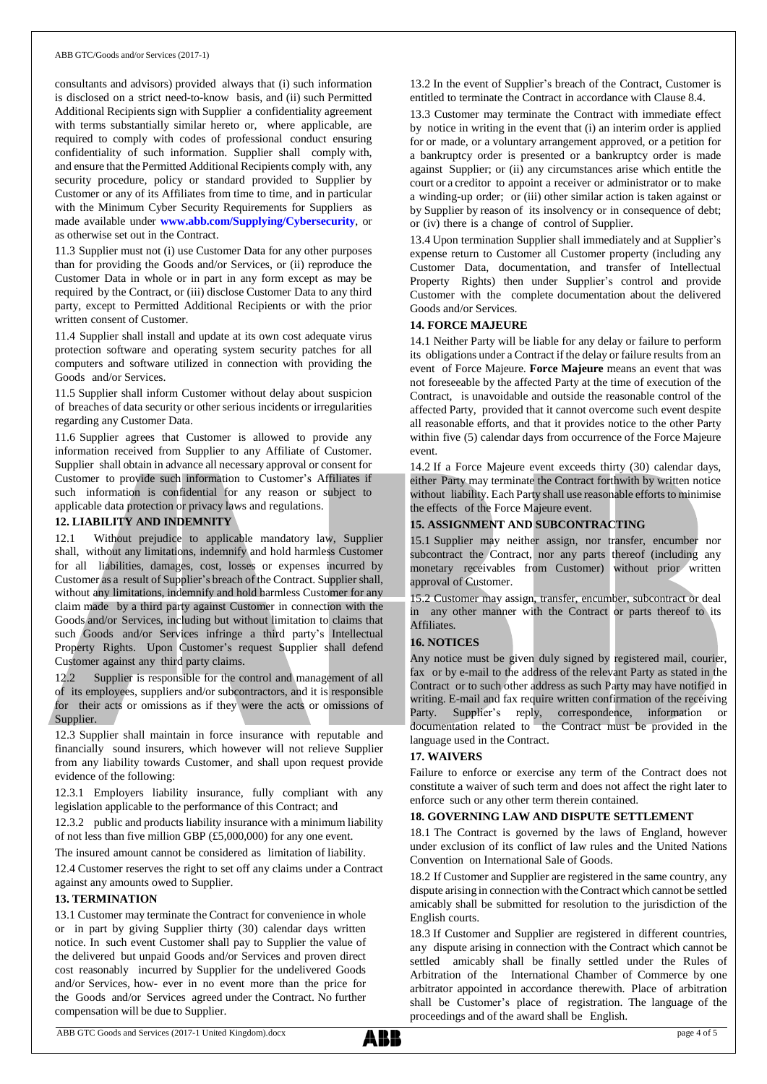consultants and advisors) provided always that (i) such information is disclosed on a strict need-to-know basis, and (ii) such Permitted Additional Recipients sign with Supplier a confidentiality agreement with terms substantially similar hereto or, where applicable, are required to comply with codes of professional conduct ensuring confidentiality of such information. Supplier shall comply with, and ensure that the Permitted Additional Recipients comply with, any security procedure, policy or standard provided to Supplier by Customer or any of its Affiliates from time to time, and in particular with the Minimum Cyber Security Requirements for Suppliers as made available under **[www.abb.com/Supplying/Cybersecurity](http://www.abb.com/Supplying/Cybersecurity)**, or as otherwise set out in the Contract.

11.3 Supplier must not (i) use Customer Data for any other purposes than for providing the Goods and/or Services, or (ii) reproduce the Customer Data in whole or in part in any form except as may be required by the Contract, or (iii) disclose Customer Data to any third party, except to Permitted Additional Recipients or with the prior written consent of Customer.

11.4 Supplier shall install and update at its own cost adequate virus protection software and operating system security patches for all computers and software utilized in connection with providing the Goods and/or Services.

11.5 Supplier shall inform Customer without delay about suspicion of breaches of data security or other serious incidents or irregularities regarding any Customer Data.

11.6 Supplier agrees that Customer is allowed to provide any information received from Supplier to any Affiliate of Customer. Supplier shall obtain in advance all necessary approval or consent for Customer to provide such information to Customer's Affiliates if such information is confidential for any reason or subject to applicable data protection or privacy laws and regulations.

# **12. LIABILITY AND INDEMNITY**

12.1 Without prejudice to applicable mandatory law, Supplier shall, without any limitations, indemnify and hold harmless Customer for all liabilities, damages, cost, losses or expenses incurred by Customer as a result of Supplier's breach of the Contract. Supplier shall, without any limitations, indemnify and hold harmless Customer for any claim made by a third party against Customer in connection with the Goods and/or Services, including but without limitation to claims that such Goods and/or Services infringe a third party's Intellectual Property Rights. Upon Customer's request Supplier shall defend Customer against any third party claims.

12.2 Supplier is responsible for the control and management of all of its employees, suppliers and/or subcontractors, and it is responsible for their acts or omissions as if they were the acts or omissions of Supplier.

12.3 Supplier shall maintain in force insurance with reputable and financially sound insurers, which however will not relieve Supplier from any liability towards Customer, and shall upon request provide evidence of the following:

12.3.1 Employers liability insurance, fully compliant with any legislation applicable to the performance of this Contract; and

12.3.2 public and products liability insurance with a minimum liability of not less than five million GBP (£5,000,000) for any one event.

The insured amount cannot be considered as limitation of liability.

12.4 Customer reserves the right to set off any claims under a Contract against any amounts owed to Supplier.

## **13. TERMINATION**

13.1 Customer may terminate the Contract for convenience in whole or in part by giving Supplier thirty (30) calendar days written notice. In such event Customer shall pay to Supplier the value of the delivered but unpaid Goods and/or Services and proven direct cost reasonably incurred by Supplier for the undelivered Goods and/or Services, how- ever in no event more than the price for the Goods and/or Services agreed under the Contract. No further compensation will be due to Supplier.

13.2 In the event of Supplier's breach of the Contract, Customer is entitled to terminate the Contract in accordance with Clause 8.4.

13.3 Customer may terminate the Contract with immediate effect by notice in writing in the event that (i) an interim order is applied for or made, or a voluntary arrangement approved, or a petition for a bankruptcy order is presented or a bankruptcy order is made against Supplier; or (ii) any circumstances arise which entitle the court or a creditor to appoint a receiver or administrator or to make a winding-up order; or (iii) other similar action is taken against or by Supplier by reason of its insolvency or in consequence of debt; or (iv) there is a change of control of Supplier.

13.4 Upon termination Supplier shall immediately and at Supplier's expense return to Customer all Customer property (including any Customer Data, documentation, and transfer of Intellectual Property Rights) then under Supplier's control and provide Customer with the complete documentation about the delivered Goods and/or Services.

# **14. FORCE MAJEURE**

14.1 Neither Party will be liable for any delay or failure to perform its obligations under a Contract if the delay or failure results from an event of Force Majeure. **Force Majeure** means an event that was not foreseeable by the affected Party at the time of execution of the Contract, is unavoidable and outside the reasonable control of the affected Party, provided that it cannot overcome such event despite all reasonable efforts, and that it provides notice to the other Party within five (5) calendar days from occurrence of the Force Majeure event.

14.2 If a Force Majeure event exceeds thirty (30) calendar days, either Party may terminate the Contract forthwith by written notice without liability. Each Party shall use reasonable efforts to minimise the effects of the Force Majeure event.

# **15. ASSIGNMENT AND SUBCONTRACTING**

15.1 Supplier may neither assign, nor transfer, encumber nor subcontract the Contract, nor any parts thereof (including any monetary receivables from Customer) without prior written approval of Customer.

15.2 Customer may assign, transfer, encumber, subcontract or deal in any other manner with the Contract or parts thereof to its Affiliates.

# **16. NOTICES**

Any notice must be given duly signed by registered mail, courier, fax or by e-mail to the address of the relevant Party as stated in the Contract or to such other address as such Party may have notified in writing. E-mail and fax require written confirmation of the receiving Party. Supplier's reply, correspondence, information or documentation related to the Contract must be provided in the language used in the Contract.

## **17. WAIVERS**

Failure to enforce or exercise any term of the Contract does not constitute a waiver of such term and does not affect the right later to enforce such or any other term therein contained.

## **18. GOVERNING LAW AND DISPUTE SETTLEMENT**

18.1 The Contract is governed by the laws of England, however under exclusion of its conflict of law rules and the United Nations Convention on International Sale of Goods.

18.2 If Customer and Supplier are registered in the same country, any dispute arising in connection with the Contract which cannot be settled amicably shall be submitted for resolution to the jurisdiction of the English courts.

18.3 If Customer and Supplier are registered in different countries, any dispute arising in connection with the Contract which cannot be settled amicably shall be finally settled under the Rules of Arbitration of the International Chamber of Commerce by one arbitrator appointed in accordance therewith. Place of arbitration shall be Customer's place of registration. The language of the proceedings and of the award shall be English.